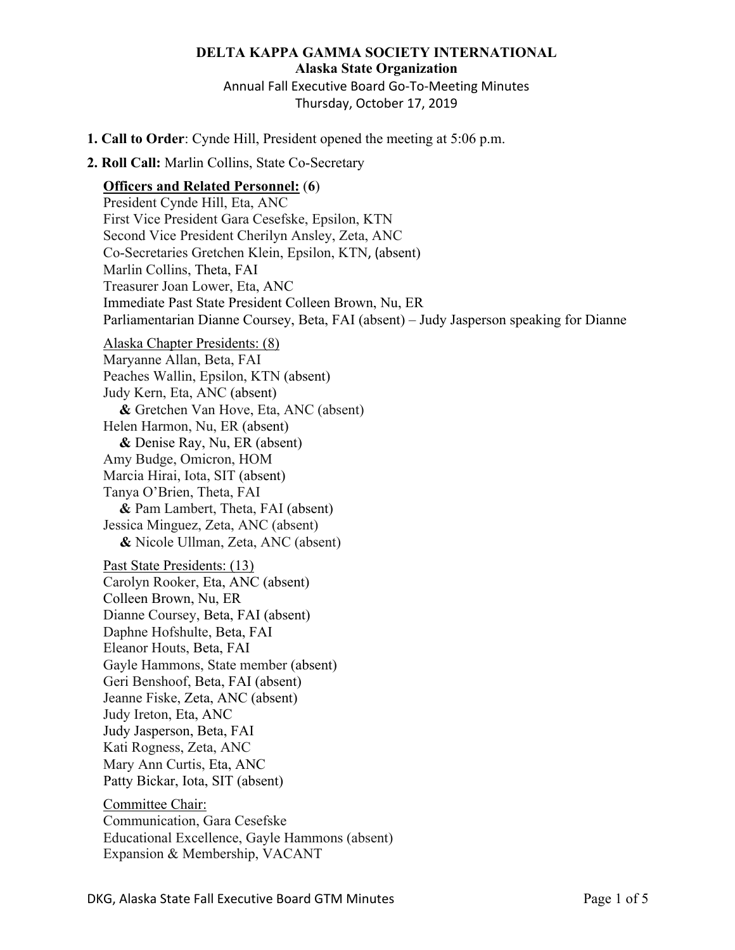# **DELTA KAPPA GAMMA SOCIETY INTERNATIONAL**

**Alaska State Organization** Annual Fall Executive Board Go-To-Meeting Minutes Thursday, October 17, 2019

- **1. Call to Order**: Cynde Hill, President opened the meeting at 5:06 p.m.
- **2. Roll Call:** Marlin Collins, State Co-Secretary

### **Officers and Related Personnel:** (**6**)

President Cynde Hill, Eta, ANC First Vice President Gara Cesefske, Epsilon, KTN Second Vice President Cherilyn Ansley, Zeta, ANC Co-Secretaries Gretchen Klein, Epsilon, KTN, (absent) Marlin Collins, Theta, FAI Treasurer Joan Lower, Eta, ANC Immediate Past State President Colleen Brown, Nu, ER Parliamentarian Dianne Coursey, Beta, FAI (absent) – Judy Jasperson speaking for Dianne Alaska Chapter Presidents: (8) Maryanne Allan, Beta, FAI Peaches Wallin, Epsilon, KTN (absent) Judy Kern, Eta, ANC (absent) **&** Gretchen Van Hove, Eta, ANC (absent) Helen Harmon, Nu, ER (absent) **&** Denise Ray, Nu, ER (absent) Amy Budge, Omicron, HOM Marcia Hirai, Iota, SIT (absent) Tanya O'Brien, Theta, FAI **&** Pam Lambert, Theta, FAI (absent) Jessica Minguez, Zeta, ANC (absent) **&** Nicole Ullman, Zeta, ANC (absent) Past State Presidents: (13) Carolyn Rooker, Eta, ANC (absent) Colleen Brown, Nu, ER Dianne Coursey, Beta, FAI (absent) Daphne Hofshulte, Beta, FAI Eleanor Houts, Beta, FAI Gayle Hammons, State member (absent) Geri Benshoof, Beta, FAI (absent) Jeanne Fiske, Zeta, ANC (absent) Judy Ireton, Eta, ANC Judy Jasperson, Beta, FAI Kati Rogness, Zeta, ANC Mary Ann Curtis, Eta, ANC Patty Bickar, Iota, SIT (absent) Committee Chair: Communication, Gara Cesefske Educational Excellence, Gayle Hammons (absent) Expansion & Membership, VACANT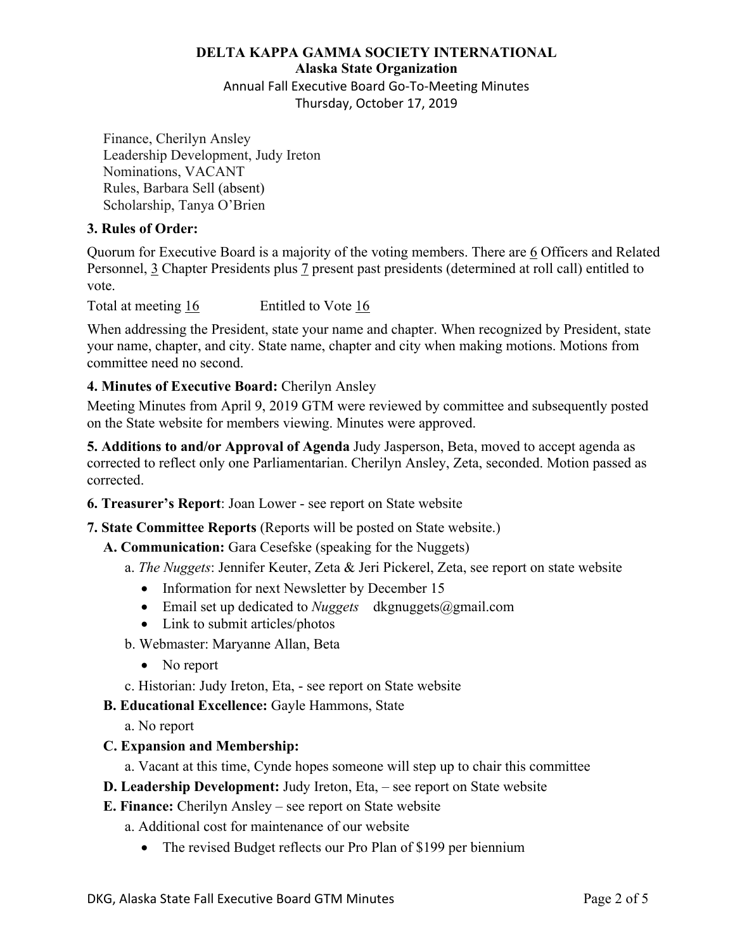#### **DELTA KAPPA GAMMA SOCIETY INTERNATIONAL**

**Alaska State Organization**

Annual Fall Executive Board Go-To-Meeting Minutes Thursday, October 17, 2019

Finance, Cherilyn Ansley Leadership Development, Judy Ireton Nominations, VACANT Rules, Barbara Sell (absent) Scholarship, Tanya O'Brien

#### **3. Rules of Order:**

Quorum for Executive Board is a majority of the voting members. There are 6 Officers and Related Personnel, 3 Chapter Presidents plus 7 present past presidents (determined at roll call) entitled to vote.

Total at meeting 16 Entitled to Vote 16

When addressing the President, state your name and chapter. When recognized by President, state your name, chapter, and city. State name, chapter and city when making motions. Motions from committee need no second.

#### **4. Minutes of Executive Board:** Cherilyn Ansley

Meeting Minutes from April 9, 2019 GTM were reviewed by committee and subsequently posted on the State website for members viewing. Minutes were approved.

**5. Additions to and/or Approval of Agenda** Judy Jasperson, Beta, moved to accept agenda as corrected to reflect only one Parliamentarian. Cherilyn Ansley, Zeta, seconded. Motion passed as corrected.

- **6. Treasurer's Report**: Joan Lower see report on State website
- **7. State Committee Reports** (Reports will be posted on State website.)
	- **A. Communication:** Gara Cesefske (speaking for the Nuggets)
		- a. *The Nuggets*: Jennifer Keuter, Zeta & Jeri Pickerel, Zeta, see report on state website
			- Information for next Newsletter by December 15
			- Email set up dedicated to *Nuggets* dkgnuggets@gmail.com
			- Link to submit articles/photos
		- b. Webmaster: Maryanne Allan, Beta
			- No report
		- c. Historian: Judy Ireton, Eta, see report on State website
	- **B. Educational Excellence:** Gayle Hammons, State
		- a. No report

#### **C. Expansion and Membership:**

- a. Vacant at this time, Cynde hopes someone will step up to chair this committee
- **D. Leadership Development:** Judy Ireton, Eta, see report on State website
- **E. Finance:** Cherilyn Ansley see report on State website
	- a. Additional cost for maintenance of our website
		- The revised Budget reflects our Pro Plan of \$199 per biennium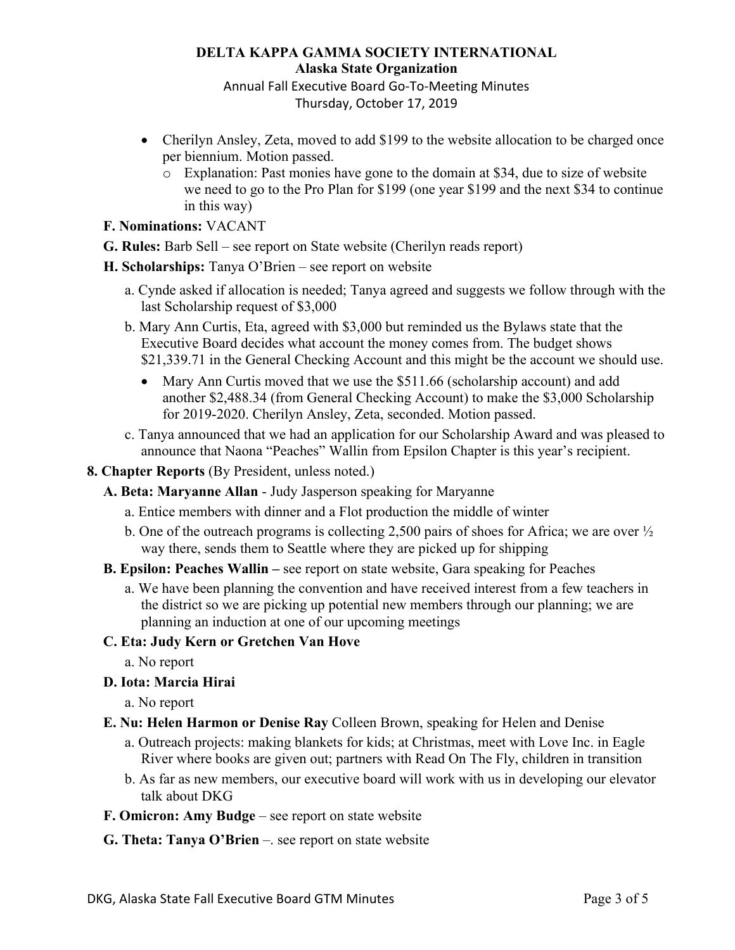## **DELTA KAPPA GAMMA SOCIETY INTERNATIONAL Alaska State Organization**

Annual Fall Executive Board Go-To-Meeting Minutes Thursday, October 17, 2019

- Cherilyn Ansley, Zeta, moved to add \$199 to the website allocation to be charged once per biennium. Motion passed.
	- o Explanation: Past monies have gone to the domain at \$34, due to size of website we need to go to the Pro Plan for \$199 (one year \$199 and the next \$34 to continue in this way)
- **F. Nominations:** VACANT
- **G. Rules:** Barb Sell see report on State website (Cherilyn reads report)
- **H. Scholarships:** Tanya O'Brien see report on website
	- a. Cynde asked if allocation is needed; Tanya agreed and suggests we follow through with the last Scholarship request of \$3,000
	- b. Mary Ann Curtis, Eta, agreed with \$3,000 but reminded us the Bylaws state that the Executive Board decides what account the money comes from. The budget shows \$21,339.71 in the General Checking Account and this might be the account we should use.
		- Mary Ann Curtis moved that we use the \$511.66 (scholarship account) and add another \$2,488.34 (from General Checking Account) to make the \$3,000 Scholarship for 2019-2020. Cherilyn Ansley, Zeta, seconded. Motion passed.
	- c. Tanya announced that we had an application for our Scholarship Award and was pleased to announce that Naona "Peaches" Wallin from Epsilon Chapter is this year's recipient.
- **8. Chapter Reports** (By President, unless noted.)
	- **A. Beta: Maryanne Allan** Judy Jasperson speaking for Maryanne
		- a. Entice members with dinner and a Flot production the middle of winter
		- b. One of the outreach programs is collecting 2,500 pairs of shoes for Africa; we are over  $\frac{1}{2}$ way there, sends them to Seattle where they are picked up for shipping
	- **B. Epsilon: Peaches Wallin –** see report on state website, Gara speaking for Peaches
		- a. We have been planning the convention and have received interest from a few teachers in the district so we are picking up potential new members through our planning; we are planning an induction at one of our upcoming meetings

## **C. Eta: Judy Kern or Gretchen Van Hove**

- a. No report
- **D. Iota: Marcia Hirai**
	- a. No report
- **E. Nu: Helen Harmon or Denise Ray** Colleen Brown, speaking for Helen and Denise
	- a. Outreach projects: making blankets for kids; at Christmas, meet with Love Inc. in Eagle River where books are given out; partners with Read On The Fly, children in transition
	- b. As far as new members, our executive board will work with us in developing our elevator talk about DKG
- **F. Omicron: Amy Budge** see report on state website
- **G. Theta: Tanya O'Brien** –. see report on state website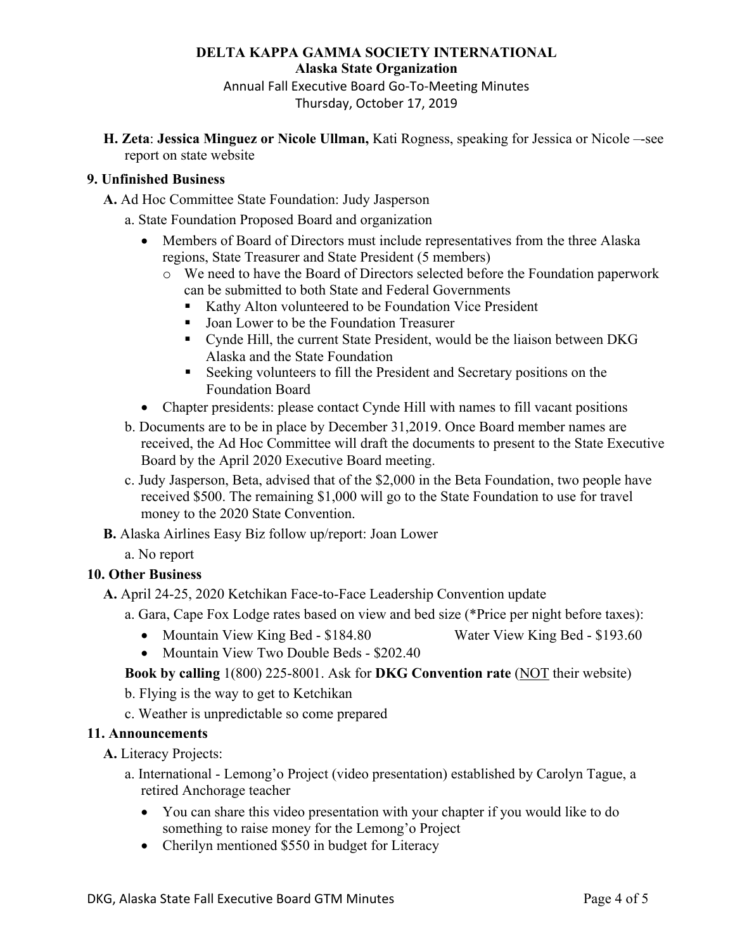#### **DELTA KAPPA GAMMA SOCIETY INTERNATIONAL**

**Alaska State Organization**

Annual Fall Executive Board Go-To-Meeting Minutes

Thursday, October 17, 2019

**H. Zeta**: **Jessica Minguez or Nicole Ullman,** Kati Rogness, speaking for Jessica or Nicole –-see report on state website

#### **9. Unfinished Business**

**A.** Ad Hoc Committee State Foundation: Judy Jasperson

- a. State Foundation Proposed Board and organization
	- Members of Board of Directors must include representatives from the three Alaska regions, State Treasurer and State President (5 members)
		- o We need to have the Board of Directors selected before the Foundation paperwork can be submitted to both State and Federal Governments
			- Kathy Alton volunteered to be Foundation Vice President
			- Joan Lower to be the Foundation Treasurer
			- § Cynde Hill, the current State President, would be the liaison between DKG Alaska and the State Foundation
			- Seeking volunteers to fill the President and Secretary positions on the Foundation Board
	- Chapter presidents: please contact Cynde Hill with names to fill vacant positions
- b. Documents are to be in place by December 31,2019. Once Board member names are received, the Ad Hoc Committee will draft the documents to present to the State Executive Board by the April 2020 Executive Board meeting.
- c. Judy Jasperson, Beta, advised that of the \$2,000 in the Beta Foundation, two people have received \$500. The remaining \$1,000 will go to the State Foundation to use for travel money to the 2020 State Convention.
- **B.** Alaska Airlines Easy Biz follow up/report: Joan Lower
	- a. No report

## **10. Other Business**

- **A.** April 24-25, 2020 Ketchikan Face-to-Face Leadership Convention update
	- a. Gara, Cape Fox Lodge rates based on view and bed size (\*Price per night before taxes):
		- Mountain View King Bed \$184.80 Water View King Bed \$193.60
		- Mountain View Two Double Beds \$202.40

## **Book by calling** 1(800) 225-8001. Ask for **DKG Convention rate** (NOT their website)

b. Flying is the way to get to Ketchikan

c. Weather is unpredictable so come prepared

## **11. Announcements**

**A.** Literacy Projects:

- a. International Lemong'o Project (video presentation) established by Carolyn Tague, a retired Anchorage teacher
	- You can share this video presentation with your chapter if you would like to do something to raise money for the Lemong'o Project
	- Cherilyn mentioned \$550 in budget for Literacy